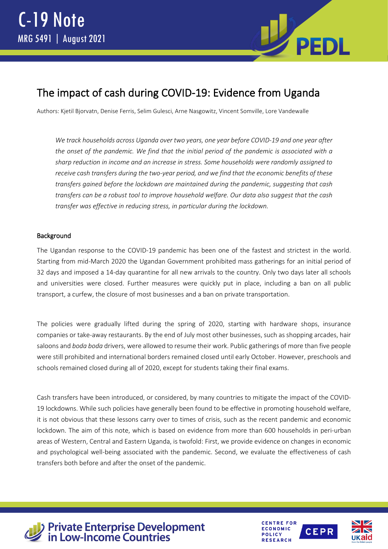

# The impact of cash during COVID-19: Evidence from Uganda

Authors: Kjetil Bjorvatn, Denise Ferris, Selim Gulesci, Arne Nasgowitz, Vincent Somville, Lore Vandewalle

*We track households across Uganda over two years, one year before COVID-19 and one year after the onset of the pandemic. We find that the initial period of the pandemic is associated with a sharp reduction in income and an increase in stress. Some households were randomly assigned to receive cash transfers during the two-year period, and we find that the economic benefits of these transfers gained before the lockdown are maintained during the pandemic, suggesting that cash transfers can be a robust tool to improve household welfare. Our data also suggest that the cash transfer was effective in reducing stress, in particular during the lockdown.*

## Background

The Ugandan response to the COVID-19 pandemic has been one of the fastest and strictest in the world. Starting from mid-March 2020 the Ugandan Government prohibited mass gatherings for an initial period of 32 days and imposed a 14-day quarantine for all new arrivals to the country. Only two days later all schools and universities were closed. Further measures were quickly put in place, including a ban on all public transport, a curfew, the closure of most businesses and a ban on private transportation.

The policies were gradually lifted during the spring of 2020, starting with hardware shops, insurance companies or take-away restaurants. By the end of July most other businesses, such as shopping arcades, hair saloons and *boda boda* drivers, were allowed to resume their work. Public gatherings of more than five people were still prohibited and international borders remained closed until early October. However, preschools and schools remained closed during all of 2020, except for students taking their final exams.

Cash transfers have been introduced, or considered, by many countries to mitigate the impact of the COVID-19 lockdowns. While such policies have generally been found to be effective in promoting household welfare, it is not obvious that these lessons carry over to times of crisis, such as the recent pandemic and economic lockdown. The aim of this note, which is based on evidence from more than 600 households in peri-urban areas of Western, Central and Eastern Uganda, is twofold: First, we provide evidence on changes in economic and psychological well-being associated with the pandemic. Second, we evaluate the effectiveness of cash transfers both before and after the onset of the pandemic.



**Private Enterprise Development<br>in Low-Income Countries** 



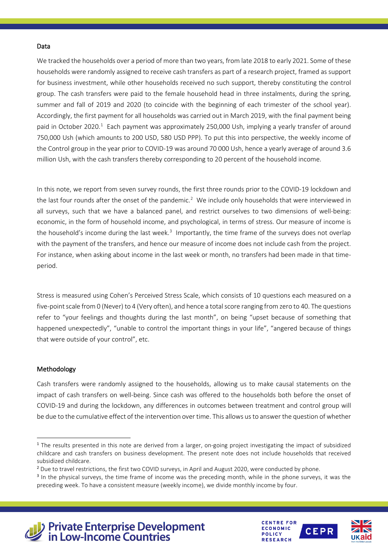#### Data

We tracked the households over a period of more than two years, from late 2018 to early 2021. Some of these households were randomly assigned to receive cash transfers as part of a research project, framed as support for business investment, while other households received no such support, thereby constituting the control group. The cash transfers were paid to the female household head in three instalments, during the spring, summer and fall of 2019 and 2020 (to coincide with the beginning of each trimester of the school year). Accordingly, the first payment for all households was carried out in March 2019, with the final payment being paid in October 2020.<sup>[1](#page-1-0)</sup> Each payment was approximately 250,000 Ush, implying a yearly transfer of around 750,000 Ush (which amounts to 200 USD, 580 USD PPP). To put this into perspective, the weekly income of the Control group in the year prior to COVID-19 was around 70 000 Ush, hence a yearly average of around 3.6 million Ush, with the cash transfers thereby corresponding to 20 percent of the household income.

In this note, we report from seven survey rounds, the first three rounds prior to the COVID-19 lockdown and the last four rounds after the onset of the pandemic.<sup>[2](#page-1-1)</sup> We include only households that were interviewed in all surveys, such that we have a balanced panel, and restrict ourselves to two dimensions of well-being: economic, in the form of household income, and psychological, in terms of stress. Our measure of income is the household's income during the last week.<sup>[3](#page-1-2)</sup> Importantly, the time frame of the surveys does not overlap with the payment of the transfers, and hence our measure of income does not include cash from the project. For instance, when asking about income in the last week or month, no transfers had been made in that timeperiod.

Stress is measured using Cohen's Perceived Stress Scale, which consists of 10 questions each measured on a five-point scale from 0 (Never) to 4 (Very often), and hence a total score ranging from zero to 40. The questions refer to "your feelings and thoughts during the last month", on being "upset because of something that happened unexpectedly", "unable to control the important things in your life", "angered because of things that were outside of your control", etc.

#### Methodology

Cash transfers were randomly assigned to the households, allowing us to make causal statements on the impact of cash transfers on well-being. Since cash was offered to the households both before the onset of COVID-19 and during the lockdown, any differences in outcomes between treatment and control group will be due to the cumulative effect of the intervention over time. This allows us to answer the question of whether







<span id="page-1-0"></span><sup>&</sup>lt;sup>1</sup> The results presented in this note are derived from a larger, on-going project investigating the impact of subsidized childcare and cash transfers on business development. The present note does not include households that received subsidized childcare.

<span id="page-1-1"></span><sup>&</sup>lt;sup>2</sup> Due to travel restrictions, the first two COVID surveys, in April and August 2020, were conducted by phone.

<span id="page-1-2"></span><sup>&</sup>lt;sup>3</sup> In the physical surveys, the time frame of income was the preceding month, while in the phone surveys, it was the preceding week. To have a consistent measure (weekly income), we divide monthly income by four.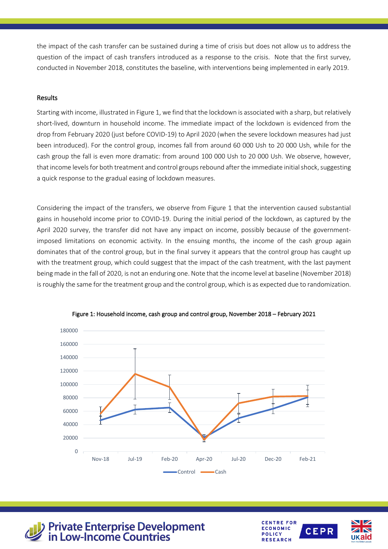the impact of the cash transfer can be sustained during a time of crisis but does not allow us to address the question of the impact of cash transfers introduced as a response to the crisis. Note that the first survey, conducted in November 2018, constitutes the baseline, with interventions being implemented in early 2019.

# Results

Starting with income, illustrated in Figure 1, we find that the lockdown is associated with a sharp, but relatively short-lived, downturn in household income. The immediate impact of the lockdown is evidenced from the drop from February 2020 (just before COVID-19) to April 2020 (when the severe lockdown measures had just been introduced). For the control group, incomes fall from around 60 000 Ush to 20 000 Ush, while for the cash group the fall is even more dramatic: from around 100 000 Ush to 20 000 Ush. We observe, however, that income levels for both treatment and control groups rebound after the immediate initial shock, suggesting a quick response to the gradual easing of lockdown measures.

Considering the impact of the transfers, we observe from Figure 1 that the intervention caused substantial gains in household income prior to COVID-19. During the initial period of the lockdown, as captured by the April 2020 survey, the transfer did not have any impact on income, possibly because of the governmentimposed limitations on economic activity. In the ensuing months, the income of the cash group again dominates that of the control group, but in the final survey it appears that the control group has caught up with the treatment group, which could suggest that the impact of the cash treatment, with the last payment being made in the fall of 2020, is not an enduring one. Note that the income level at baseline (November 2018) is roughly the same for the treatment group and the control group, which is as expected due to randomization.







**Private Enterprise Development<br>in Low-Income Countries** 

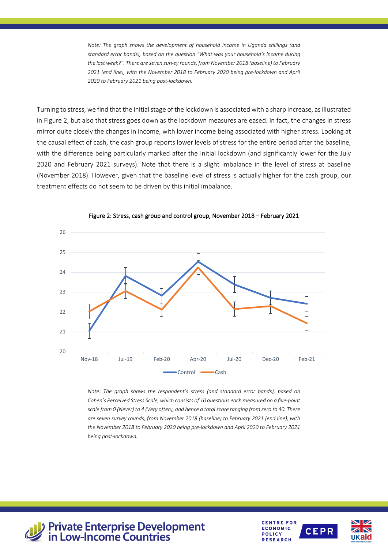*Note: The graph shows the development of household income in Uganda shillings (and standard error bands), based on the question "What was your household's income during the last week?". There are seven survey rounds, from November 2018 (baseline) to February 2021 (end line), with the November 2018 to February 2020 being pre-lockdown and April 2020 to February 2021 being post-lockdown.*

Turning to stress, we find that the initial stage of the lockdown is associated with a sharp increase, as illustrated in Figure 2, but also that stress goes down as the lockdown measures are eased. In fact, the changes in stress mirror quite closely the changes in income, with lower income being associated with higher stress. Looking at the causal effect of cash, the cash group reports lower levels of stress for the entire period after the baseline, with the difference being particularly marked after the initial lockdown (and significantly lower for the July 2020 and February 2021 surveys). Note that there is a slight imbalance in the level of stress at baseline (November 2018). However, given that the baseline level of stress is actually higher for the cash group, our treatment effects do not seem to be driven by this initial imbalance.



Figure 2: Stress, cash group and control group, November 2018 – February 2021

*Note: The graph shows the respondent's stress (and standard error bands), based on Cohen's Perceived Stress Scale, which consists of 10 questions each measured on a five-point scale from 0 (Never) to 4 (Very often), and hence a total score ranging from zero to 40. There are seven survey rounds, from November 2018 (baseline) to February 2021 (end line), with the November 2018 to February 2020 being pre-lockdown and April 2020 to February 2021 being post-lockdown.*



**Private Enterprise Development<br>in Low-Income Countries** 

**CENTRE FOR ECONOMIC POLICY RESEARCH**